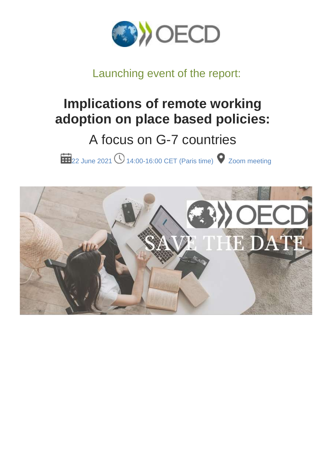

## Launching event of the report:

# **Implications of remote working adoption on place based policies:**

## A focus on G-7 countries

22 June 2021 **14:00-16:00 CET** (Paris time) 2 Zoom meeting

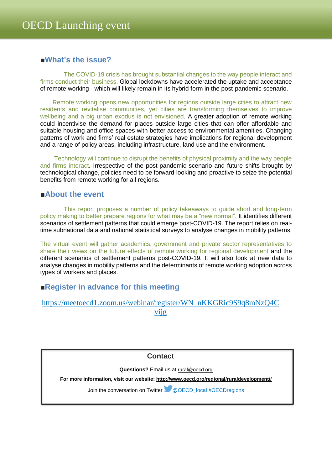### **■What's the issue?**

The COVID-19 crisis has brought substantial changes to the way people interact and firms conduct their business. Global lockdowns have accelerated the uptake and acceptance of remote working - which will likely remain in its hybrid form in the post-pandemic scenario.

Remote working opens new opportunities for regions outside large cities to attract new residents and revitalise communities, yet cities are transforming themselves to improve wellbeing and a big urban exodus is not envisioned. A greater adoption of remote working could incentivise the demand for places outside large cities that can offer affordable and suitable housing and office spaces with better access to environmental amenities. Changing patterns of work and firms' real estate strategies have implications for regional development and a range of policy areas, including infrastructure, land use and the environment.

Technology will continue to disrupt the benefits of physical proximity and the way people and firms interact. Irrespective of the post-pandemic scenario and future shifts brought by technological change, policies need to be forward-looking and proactive to seize the potential benefits from remote working for all regions.

#### **■About the event**

This report proposes a number of policy takeaways to guide short and long-term policy making to better prepare regions for what may be a "new normal". It identifies different scenarios of settlement patterns that could emerge post-COVID-19. The report relies on realtime subnational data and national statistical surveys to analyse changes in mobility patterns.

The virtual event will gather academics, government and private sector representatives to share their views on the future effects of remote working for regional development and the different scenarios of settlement patterns post-COVID-19. It will also look at new data to analyse changes in mobility patterns and the determinants of remote working adoption across types of workers and places.

#### **■Register in advance for this meeting**

| https://meetoecd1.zoom.us/webinar/register/WN_nKKGRic9S9q8mNzQ4C |  |
|------------------------------------------------------------------|--|
| V119                                                             |  |

**Contact**

**Questions?** Email us at [rural@oecd.org](mailto:rural@oecd.org)

**For more information, visit our website: [http://www.oecd.org/regional/ruraldevelopment//](http://www.oecd.org/regional/ruraldevelopment/)**

Join the conversation on Twitter @OECD\_local #OECDregions